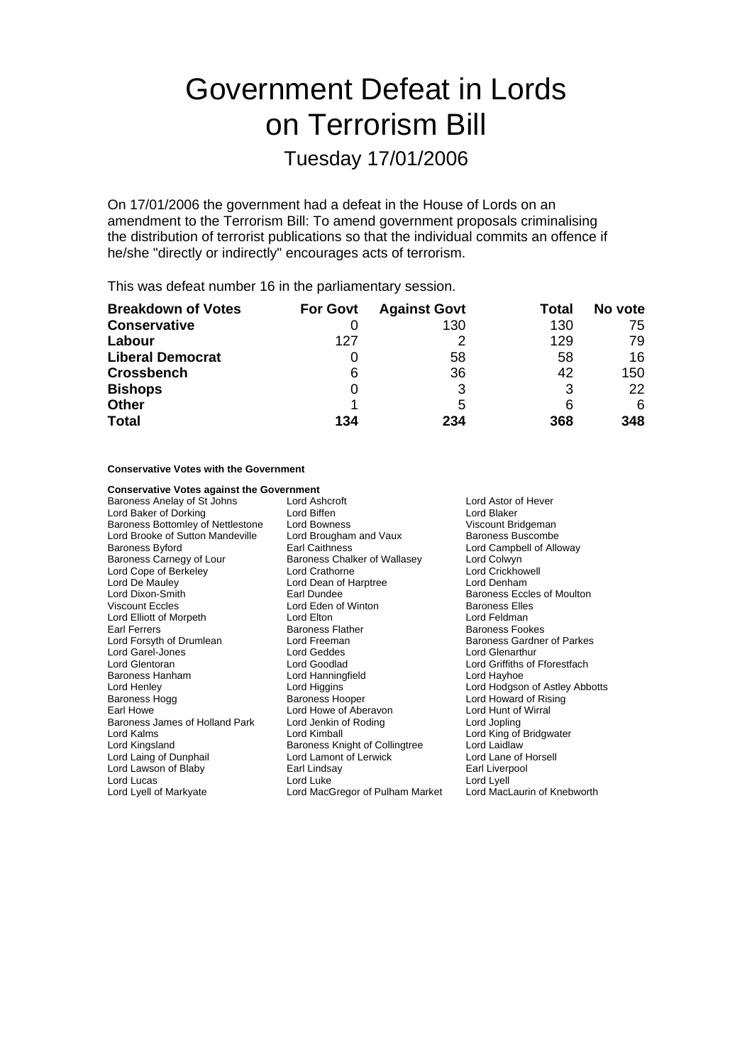# Government Defeat in Lords on Terrorism Bill

## Tuesday 17/01/2006

On 17/01/2006 the government had a defeat in the House of Lords on an amendment to the Terrorism Bill: To amend government proposals criminalising the distribution of terrorist publications so that the individual commits an offence if he/she "directly or indirectly" encourages acts of terrorism.

This was defeat number 16 in the parliamentary session.

| <b>Breakdown of Votes</b> | <b>For Govt</b> | <b>Against Govt</b> | Total | No vote |
|---------------------------|-----------------|---------------------|-------|---------|
| <b>Conservative</b>       |                 | 130                 | 130   | 75      |
| Labour                    | 127             |                     | 129   | 79      |
| <b>Liberal Democrat</b>   |                 | 58                  | 58    | 16      |
| <b>Crossbench</b>         | 6               | 36                  | 42    | 150     |
| <b>Bishops</b>            |                 |                     | 3     | 22      |
| <b>Other</b>              |                 | 5                   | 6     | 6       |
| <b>Total</b>              | 134             | 234                 | 368   | 348     |

#### **Conservative Votes with the Government**

## **Conservative Votes against the Government**<br>Baroness Anelay of St Johns Lord Ashcroft

Baroness Anelay of St Johns Lord Ashcroft **Lord Astor of Hever** Lord Astor of Hever Lord Baker of Dorking **Lord Biffen**<br>
Lord Baker Corress Bottomley of Nettlestone Lord Bowness<br>
Lord Bowness<br>
Lord Bowness<br>
Corress Bottomley of Nettlestone Lord Bowness Baroness Bottomley of Nettlestone Lord Bowness<br>
Lord Brooke of Sutton Mandeville Lord Brougham and Vaux Baroness Buscombe Lord Brooke of Sutton Mandeville Baroness Byford **Earl Caithness** Earl Caithness **Lord Campbell of Alloway** Baroness Carnegy of Lour Baroness Chalker of Wallasey Lord Colwyn<br>
Lord Cope of Berkeley Lord Crathorne Lord Crathorne Lord Crickhowell Lord Cope of Berkeley **Lord Crathorne** Lord Crathorne Lord Crickhow<br>
Lord De Mauley **Lord Crathorne Lord Crathorne Lord Crickhow**<br>
Lord De Mauley **Lord Crickhowell Lord Crickhow** Lord Dixon-Smith **Earl Dundee** Earl Dundee **Baroness Eccles of Moulton**<br>
Viscount Eccles **Baroness Elles Elles** Lord Elliott of Morpeth<br>Farl Ferrers Earl Ferrers **Exercise Set Constructs** Baroness Flather Baroness Fookes<br>
Baroness Gardne<br>
Baroness Gardne Lord Garel-Jones<br>
Lord Glentoran<br>
Lord Goodlad Baroness Hanham **Lord Hanningfield** Lord Hayhoe Lord Henley **Lord Holland Lord Higgins Lord Homes Lord Hodgson of Astley Abbotts**<br>
Baroness Hogg **Baroness Hooper Lord Howard of Rising** Baroness Hogg **Baroness Hooper** Baroness Hooper **Lord Howard of Rising**<br>Earl Howe Carl Lord Howe of Aberavon **Lord Hunt of Wirral** Baroness James of Holland Park Lord Jenkin of Roding Lord Jopling Lord Kalms Lord Kimball Lord King of Bridgwater Lord Kingsland Baroness Knight of Collingtree<br>
Lord Laing of Dunphail Baroness Knight of Lerwick Lord Lawson of Blaby Earl Lindsay Earl Liverpool

Lord Dean of Harptree Lord Eden of Winton **Baroness Elles**<br>
Lord Elton Baroness Elles Lord Freeman **Baroness Gardner of Parkes**<br>
Lord Geddes **Baroness Cardner Corporation** Lord Howe of Aberavon Lord Lamont of Lerwick Lord Lane of Horsell

Lord Griffiths of Fforestfach Lord Lyell Lord Lyell of Markyate Lord MacGregor of Pulham Market Lord MacLaurin of Knebworth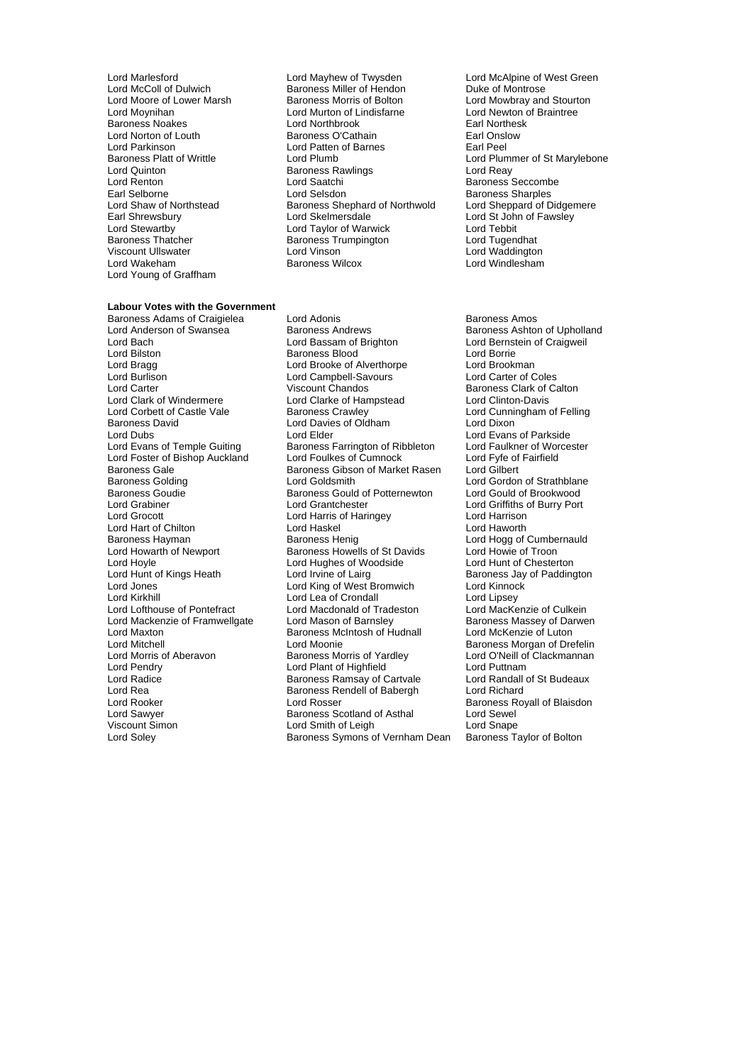Lord McColl of Dulwich Baroness Miller of Hendon<br>Lord Moore of Lower Marsh Baroness Morris of Bolton Lord Parkinson<br>
Baroness Platt of Writtle<br>
Baroness Platt of Writtle<br>
Lord Plumb Viscount Ullswater **Lord Vinson**<br>
Lord Wakeham **Lord Wateham**<br>
Lord Wakeham Lord Young of Graffham

#### **Labour Votes with the Government**

Lord Burlison Lord Campbell-Savours<br>
Lord Carter Chandos<br>
Viscount Chandos Baroness Gale **Baroness Gibson of Market Rasen**<br>Baroness Golding **Baroness Colding** Lord Goldsmith Baroness Goudie Baroness Gould of Potternewton<br>
Lord Grabiner<br>
Lord Grantchester Lord Kirkhill **Lord Lea of Crondall** Lord Maxton Baroness McIntosh of Hudnall<br>Lord Mitchell Lord Mitchell Lord Moonie Lord Sawyer **Baroness Scotland of Asthal**<br>
Viscount Simon **Baroness Scotland of Asthal** 

Lord Marlesford **Lord Mayhew of Twysden** Lord McAlpine of West Green<br>
Lord McColl of Dulwich **Baroness Miller of Hendon** Duke of Montrose Lord Moynihan **Lord Murton of Lindisfarne** Lord Newton of Lindisfarne Lord Newton of Lindisfarne Lord Newton of Braintees Correspondence Lord Newton of Braine Braintees Correspondence Lord Newton Correspondence Lord Newton Baroness Noakes **Earl Northbrook** Lord Northbrook **Earl Northesk Constant Carl Northesk Earl Northes**<br>
Lord Norton of Louth **Earl Northesk Baroness O'Cathain** Earl Onslow Lord Norton of Louth **Baroness O'Cathain** Earl Onslow Earl Onslow<br>
Lord Patkinson **Earl Pearl Onslow Earl Pearl Onslow Earl Pearl Pearl Pearl Pearl Pearl Pearl Pearl Pearl Pearl Pearl Pearl Pearl Pearl Pearl Pearl Pearl Pe** Baroness Platt of Writtle **Lord Plumb** Lord Plumb Lord Plummer of St Marylebone<br>
Lord Quinton Lord Plumb Baroness Rawlings Lord Reav Lord Quinton Baroness Rawlings Lord Reay **Lord Saatchi** Baroness Seccombe Earl Selborne **Community Community** Lord Selsdon **Baroness Sharples**<br>
Lord Shaw of Northstead **Baroness Shephard of Northwold** Lord Sheppard of Didgemere Lord Shaw of Northstead Baroness Shephard of Northwold<br>
Bar Shrewsbury Lord Skelmersdale Earl Shrewsbury **Lord Skelmersdale** Lord St John of Fawsley<br>
Lord Stewartby **Lord Taylor of Warwick** Lord Tebbit Lord Stewartby Lord Taylor of Warwick Lord Tebbit Baroness Trumpington Lord Tugendhat<br>
Lord Vinson Lord Waddington

Baroness Adams of Craigielea Lord Adonis<br>
Lord Anderson of Swansea Baroness Andrews<br>
Baroness Ashton Lord Anderson of Swansea Baroness Andrews Baroness Ashton of Upholland<br>
Lord Baroness Ashton Craigweil<br>
Lord Bassam of Brighton<br>
Lord Baroness Ashton Craigweil Lord Bilston **Baroness Blood** Lord Borrie<br>
Lord Bragg **Constant Lord Brooke of Alverthorpe** Lord Brookman Lord Bragg **Lord Brooke of Alverthorpe** Lord Brookman<br>
Lord Burlison **Lord Campbell-Savours** Lord Carter of Coles Lord Carter **Chandos**<br>
Lord Clark of Calton Lord Clarke of Hampstead **Baroness Clark of Calton**<br>
Lord Clark of Mindermere Lord Clarke of Hampstead Lord Clinton-Davis Lord Clark of Windermere **Lord Clarke of Hampstead** Lord Clinton-Davis<br>
Lord Corbett of Castle Vale **Baroness Crawley** Lord Cunningham on Lord Corbett of Castle Vale Baroness Crawley<br>
Baroness David Baroness Crawley Corp Lord Dixon<br>
Lord Dixon Lord Davies of Oldham Lord Dubs **Lord Elder** Lord Elder **Lord Evans of Parkside** Lord Evans of Temple Guiting Baroness Farrington of Ribbleton Lord Faulkner of Worcester<br>
Lord Foster of Bishop Auckland Lord Foulkes of Cumnock Lord Fyfe of Fairfield Lord Foster of Bishop Auckland Lord Foulkes of Cumnock Lord Fyfe of Cumnock Lord Fyfe of Baroness Gibson of Market Rasen Lord Gilbert Baroness Golding The Lord Goldsmith Cord Condon of Strathblane<br>Baroness Goudie The Baroness Gould of Potternewton Lord Gould of Brookwood Lord Grabiner Lord Grantchester Lord Griffiths of Burry Port Lord Harris of Haringey Lord Hart of Chilton **Lord Haskel Cord Haskel** Lord Haworth Lord Haworth Lord Haworth Lord Hogg of Lord Hogg of Baroness Hayman Baroness Henig Lord Hogg of Cumbernauld<br>
Lord Howarth of Newport Baroness Howells of St Davids Lord Howie of Troon Baroness Howells of St Davids Lord Hoyle Lord Hughes of Woodside Lord Hunt of Chesterton Lord Hunt of Kings Heath Lord Irvine of Lairg Baroness Jay of Paddington<br>
Lord Jones Cord King of West Bromwich Lord Kinnock<br>
Lord Jones Cord King of West Bromwich Lord Kinnock Lord King of West Bromwich Lord Kinnoc<br>Lord Lea of Crondall Lord Lipsey Lord Lofthouse of Pontefract Lord Macdonald of Tradeston Lord MacKenzie of Culkein<br>Lord Mackenzie of Framwellgate Lord Mason of Barnsley Baroness Massey of Darwen Lord Mackenzie of Framwellgate Lord Mason of Barnsley Baroness Massey of Da<br>Lord Maxton Baroness McIntosh of Hudnall Lord McKenzie of Luton Lord Mitchell<br>
Lord Moonie Cord Moonie baroness Morris of Aberavian Baroness Morris of Yardley<br>
Lord Morris of Aberavon Baroness Morris of Yardley Lord O'Neill of Clackmannan Lord Morris of Aberavon Baroness Morris of Yardley Lord O'Neill of Clackmannan Lord Pendry **Lord Plant of Highfield** Lord Puttnam<br>
Lord Radice **Constant Baroness Ramsay of Cartvale** Lord Randall of St Budeaux Baroness Ramsay of Cartvale Lord Rea Baroness Rendell of Babergh Lord Richard<br>Lord Rooker Lord Rosser Lord Rosser Baroness Ro Lord Rooker **Lord Rosser** Communication Corporation Corporation Corporation Corporation Corporation Corporation<br>
Lord Sawver **Baroness Scotland of Asthal** Corporation Corporation Corporation Corporation Corporation Corpora Viscount Simon **Viscount Simon** Lord Snith of Leigh Lord Snape<br>
Lord Soley **Communist Symons of Vernham Dean** Baroness Taylor of Bolton Baroness Symons of Vernham Dean

Lord Mowbray and Stourton<br>Lord Newton of Braintree Lord Windlesham

Lord Bernstein of Craigweil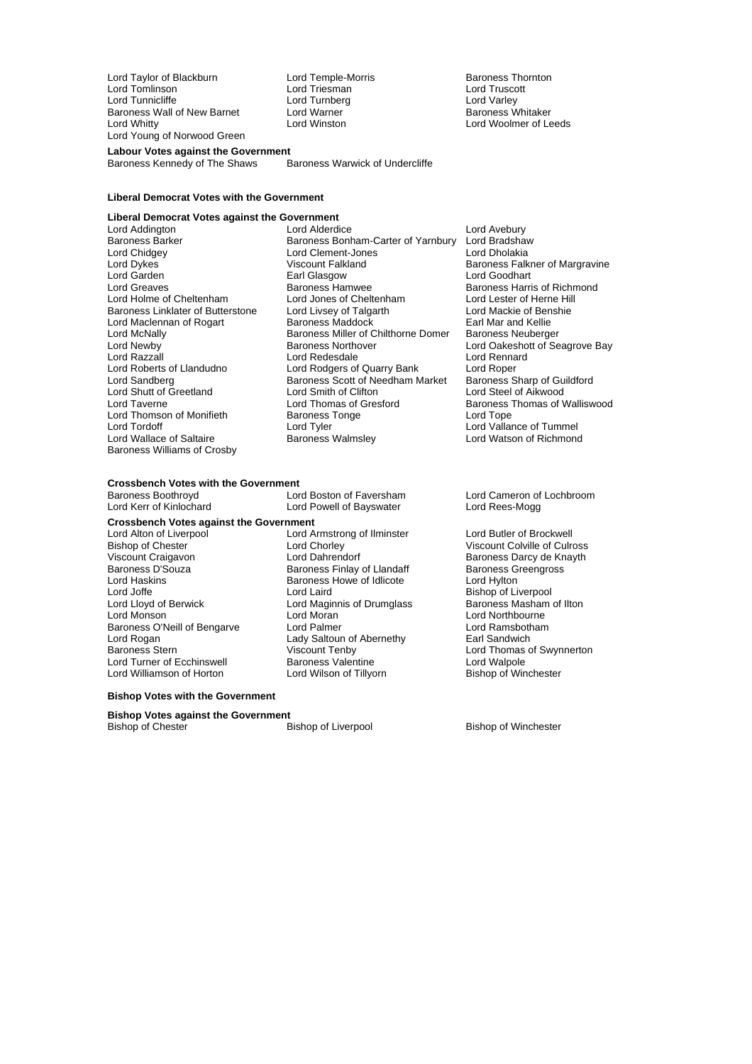Lord Taylor of Blackburn and Lord Temple-Morris and Baroness Thornton<br>
Lord Tomlinson and Lord Triesman and Lord Truscott Lord Tomlinson Lord Triesman Lord Truscott Lord Tunnicliffe Lord Turnberg Lord Turnberg<br>
Baroness Wall of New Barnet Lord Warner Lord Turnber Baroness Whitaker Baroness Wall of New Barnet Lord Warner<br>Lord Whitty Lord Winston Lord Young of Norwood Green

**Labour Votes against the Government** Baroness Kennedy of The Shaws

Lord Woolmer of Leeds

#### **Liberal Democrat Votes with the Government**

### **Liberal Democrat Votes against the Government**

Lord Chidgey **Lord Clement-Jones**<br>
Lord Dykes **Lord Clement-Lord Dykes**<br>
Viscount Falkland Baroness Linklater of Butterstone Lord Shutt of Greetland Baroness Williams of Crosby

Lord Addington **Lord Alderdice** Lord Alderdice Lord And Lord Avebury<br>Baroness Barker **Baroness Bonham-Carter of Yarnbury** Lord Bradshaw Baroness Barker Baroness Bonham-Carter of Yarnbury Lord Bradshaw<br>Lord Chidgey Lord Clement-Jones Lord Dholakia Lord Garden **Earl Glasgow** Earl Glasgow **Lord Goodhart**<br>
Lord Greaves **Communist Construction Communist Construction**<br>
Baroness Harri Baroness Hamwee<br>
Lord Jones of Cheltenham<br>
Lord Lester of Herne Hill Lord Holme of Cheltenham<br>
Lord Holme of Cheltenham Lord Lord Lord Lester of Herne Hill<br>
Baroness Linklater of Butterstone Lord Livsey of Talgarth Lord Mackie of Benshie Lord Maclennan of Rogart Baroness Maddock Earl Mar and Kellie Lord McNally **Lord McNally** Baroness Miller of Chilthorne Domer Baroness Neuberger<br>Lord Newby **Baroness Northover** Lord Oakeshott of Se Lord Razzall **Lord Redesdale** Lord Redesdale Lord Rennard<br>
Lord Roberts of Llandudno Lord Rodgers of Quarry Bank Lord Roper Lord Roberts of Llandudno Lord Rodgers of Quarry Bank Lord Roper<br>Lord Sandberg Lord Rangers Scott of Needham Market Baroness Sharp of Guildford Express Scott of Needham Market<br>
Lord Smith of Clifton<br>
Lord Steel of Aikwood Lord Taverne **Lord Thomas of Gresford** Baroness Thomas of Walliswood<br>
Lord Thomson of Monifieth Baroness Tonge **Baroness Tonge** Lord Thomson of Monifieth Baroness Tonge<br>
Lord Tord Tord Tope<br>
Lord Tord Tollar Lord Wallace of Saltaire Baroness Walmsley Lord Watson of Richmond

Baroness Falkner of Margravine Lord Oakeshott of Seagrove Bay Lord Vallance of Tummel

## **Crossbench Votes with the Government**<br>Baroness Boothrovd **Lord Boston of Faversham**

**Crossbench Votes against the Government**

Viscount Craigavon Lord Dahrendorf Baroness Darcy de Knayth Lord Haskins Baroness Howe of Idlicote Lord Hylton Lord Joffe **Communist Communist Communist Communist Communist Communist Communist Communist Communist Communist Communist Communist Communist Communist Communist Communist Communist Communist Communist Communist Communist** Lord Lloyd of Berwick Lord Maginnis of Drumglass<br>
Lord Maginnis of Drumglass<br>
Lord Moran Baroness O'Neill of Bengarve Lord Palmer<br>
Lord Rogan Cord Ramsbotham Lady Saltoun of Abernethy<br>
Lady Saltoun of Abernethy Land Earl Sandwich Lord Rogan **Lady Saltoun of Abernethy**<br>
Baroness Stern **Container Container Container Container** Viscount Tenby Lord Turner of Ecchinswell **Baroness Valentine** Lord Walpole<br>
Lord Williamson of Horton Lord Wilson of Tillyorn **Lord Wilson Bishop of Winchester** Lord Williamson of Horton

Lord Powell of Bayswater Lord Alton of Liverpool Lord Armstrong of Ilminster Cord Butler of Brockwell<br>
Bishop of Chester Collregency Lord Chorley Collregency Collregency Collregency Collregency Lord Chorley **Chester Lord Chester Colville Of Culross**<br>
Lord Dahrendorf **Charles Charles Charles Charles Charles Charles Charles Charles Charles Charles Charles Charles Charles Charles Charles Charles Charles Charles Char** Baroness Finlay of Llandaff Lord Monson Lord Moran Lord Northbourne

Baroness Boothroyd<br>
Lord Cameron of Lochbroom<br>
Lord Kerr of Kinlochard Lord Powell of Bayswater Lord Rees-Mogg

Viscount Tenby **Lord Thomas of Swynnerton**<br> **Baroness Valentine Lord Walpole** 

#### **Bishop Votes with the Government**

**Bishop Votes against the Government**<br>Bishop of Chester Bishop of Liverpool

Bishop of Winchester